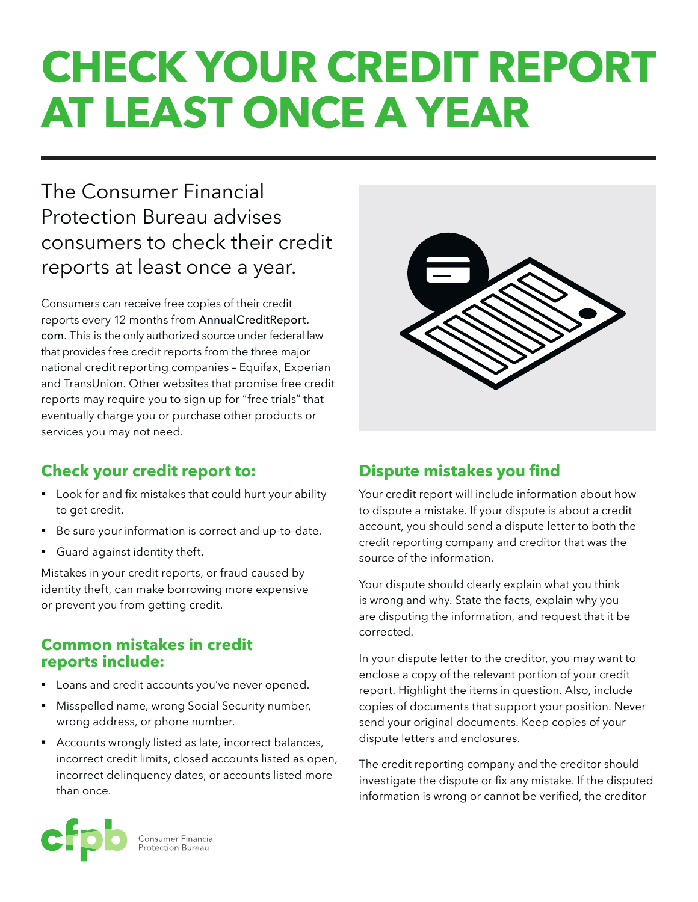# **Check your credit report at least once a year**

## The Consumer Financial Protection Bureau advises consumers to check their credit reports at least once a year.

Consumers can receive free copies of their credit reports every 12 months from AnnualCreditReport. com. This is the only authorized source under federal law that provides free credit reports from the three major national credit reporting companies – Equifax, Experian and TransUnion. Other websites that promise free credit reports may require you to sign up for "free trials" that eventually charge you or purchase other products or services you may not need.

### **Check your credit report to:**

- Look for and fix mistakes that could hurt your ability to get credit.
- Be sure your information is correct and up-to-date.
- Guard against identity theft.

Mistakes in your credit reports, or fraud caused by identity theft, can make borrowing more expensive or prevent you from getting credit.

#### **Common mistakes in credit reports include:**

- Loans and credit accounts you've never opened.
- Misspelled name, wrong Social Security number, wrong address, or phone number.
- Accounts wrongly listed as late, incorrect balances, incorrect credit limits, closed accounts listed as open, incorrect delinquency dates, or accounts listed more than once.

### **Dispute mistakes you find**

Your credit report will include information about how to dispute a mistake. If your dispute is about a credit account, you should send a dispute letter to both the credit reporting company and creditor that was the source of the information.

Your dispute should clearly explain what you think is wrong and why. State the facts, explain why you are disputing the information, and request that it be corrected.

In your dispute letter to the creditor, you may want to enclose a copy of the relevant portion of your credit report. Highlight the items in question. Also, include copies of documents that support your position. Never send your original documents. Keep copies of your dispute letters and enclosures.

The credit reporting company and the creditor should investigate the dispute or fix any mistake. If the disputed information is wrong or cannot be verified, the creditor